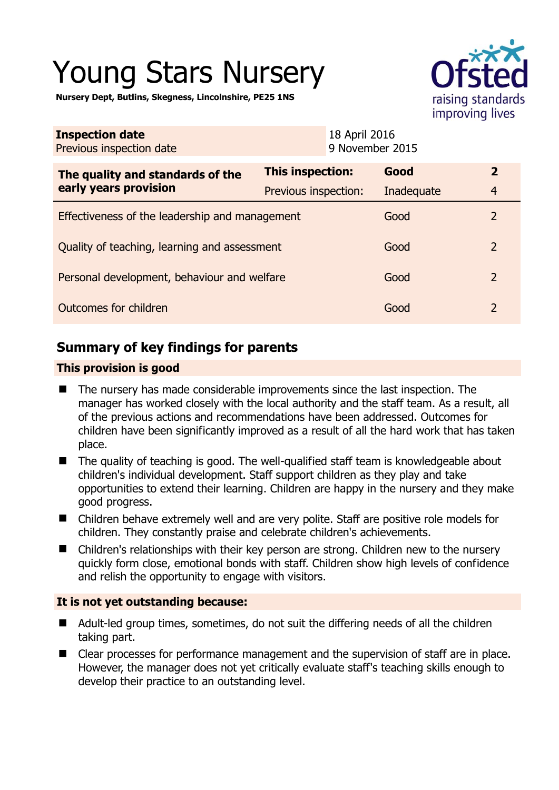# Young Stars Nursery

**Nursery Dept, Butlins, Skegness, Lincolnshire, PE25 1NS** 



| <b>Inspection date</b><br>Previous inspection date        |                         | 18 April 2016<br>9 November 2015 |                |
|-----------------------------------------------------------|-------------------------|----------------------------------|----------------|
| The quality and standards of the<br>early years provision | <b>This inspection:</b> | Good                             | $\overline{2}$ |
|                                                           | Previous inspection:    | Inadequate                       | $\overline{4}$ |
| Effectiveness of the leadership and management            |                         | Good                             | 2              |
| Quality of teaching, learning and assessment              |                         | Good                             | 2              |
| Personal development, behaviour and welfare               |                         | Good                             | 2              |
| Outcomes for children                                     |                         | Good                             | 2              |

## **Summary of key findings for parents**

## **This provision is good**

- The nursery has made considerable improvements since the last inspection. The manager has worked closely with the local authority and the staff team. As a result, all of the previous actions and recommendations have been addressed. Outcomes for children have been significantly improved as a result of all the hard work that has taken place.
- The quality of teaching is good. The well-qualified staff team is knowledgeable about children's individual development. Staff support children as they play and take opportunities to extend their learning. Children are happy in the nursery and they make good progress.
- Children behave extremely well and are very polite. Staff are positive role models for children. They constantly praise and celebrate children's achievements.
- Children's relationships with their key person are strong. Children new to the nursery quickly form close, emotional bonds with staff. Children show high levels of confidence and relish the opportunity to engage with visitors.

## **It is not yet outstanding because:**

- Adult-led group times, sometimes, do not suit the differing needs of all the children taking part.
- Clear processes for performance management and the supervision of staff are in place. However, the manager does not yet critically evaluate staff's teaching skills enough to develop their practice to an outstanding level.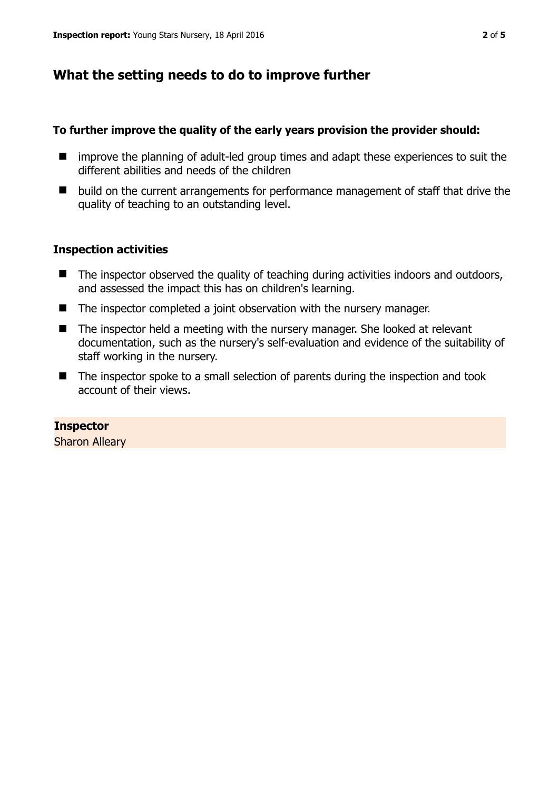## **What the setting needs to do to improve further**

#### **To further improve the quality of the early years provision the provider should:**

- improve the planning of adult-led group times and adapt these experiences to suit the different abilities and needs of the children
- $\blacksquare$  build on the current arrangements for performance management of staff that drive the quality of teaching to an outstanding level.

### **Inspection activities**

- The inspector observed the quality of teaching during activities indoors and outdoors, and assessed the impact this has on children's learning.
- The inspector completed a joint observation with the nursery manager.
- The inspector held a meeting with the nursery manager. She looked at relevant documentation, such as the nursery's self-evaluation and evidence of the suitability of staff working in the nursery.
- The inspector spoke to a small selection of parents during the inspection and took account of their views.

**Inspector**  Sharon Alleary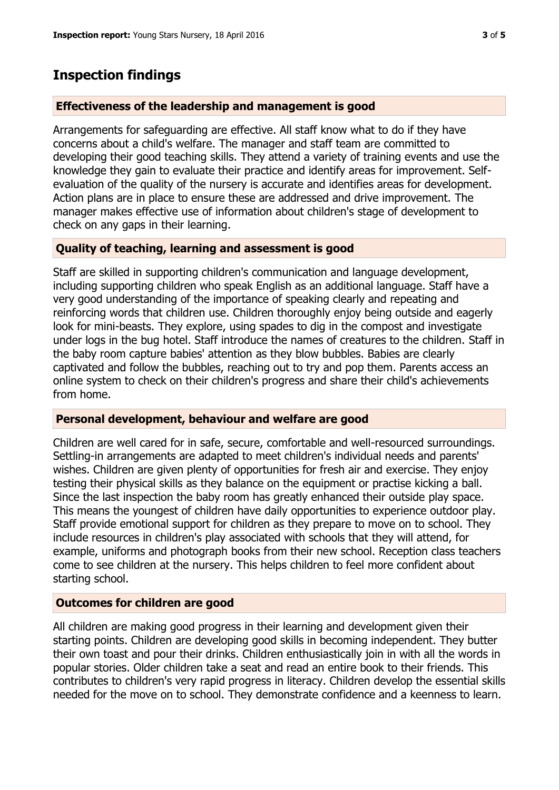## **Inspection findings**

#### **Effectiveness of the leadership and management is good**

Arrangements for safeguarding are effective. All staff know what to do if they have concerns about a child's welfare. The manager and staff team are committed to developing their good teaching skills. They attend a variety of training events and use the knowledge they gain to evaluate their practice and identify areas for improvement. Selfevaluation of the quality of the nursery is accurate and identifies areas for development. Action plans are in place to ensure these are addressed and drive improvement. The manager makes effective use of information about children's stage of development to check on any gaps in their learning.

## **Quality of teaching, learning and assessment is good**

Staff are skilled in supporting children's communication and language development, including supporting children who speak English as an additional language. Staff have a very good understanding of the importance of speaking clearly and repeating and reinforcing words that children use. Children thoroughly enjoy being outside and eagerly look for mini-beasts. They explore, using spades to dig in the compost and investigate under logs in the bug hotel. Staff introduce the names of creatures to the children. Staff in the baby room capture babies' attention as they blow bubbles. Babies are clearly captivated and follow the bubbles, reaching out to try and pop them. Parents access an online system to check on their children's progress and share their child's achievements from home.

#### **Personal development, behaviour and welfare are good**

Children are well cared for in safe, secure, comfortable and well-resourced surroundings. Settling-in arrangements are adapted to meet children's individual needs and parents' wishes. Children are given plenty of opportunities for fresh air and exercise. They enjoy testing their physical skills as they balance on the equipment or practise kicking a ball. Since the last inspection the baby room has greatly enhanced their outside play space. This means the youngest of children have daily opportunities to experience outdoor play. Staff provide emotional support for children as they prepare to move on to school. They include resources in children's play associated with schools that they will attend, for example, uniforms and photograph books from their new school. Reception class teachers come to see children at the nursery. This helps children to feel more confident about starting school.

## **Outcomes for children are good**

All children are making good progress in their learning and development given their starting points. Children are developing good skills in becoming independent. They butter their own toast and pour their drinks. Children enthusiastically join in with all the words in popular stories. Older children take a seat and read an entire book to their friends. This contributes to children's very rapid progress in literacy. Children develop the essential skills needed for the move on to school. They demonstrate confidence and a keenness to learn.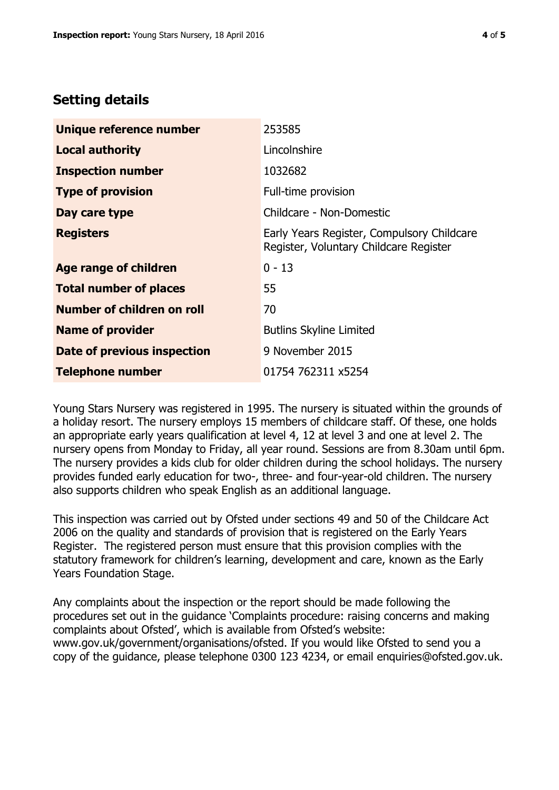## **Setting details**

| Unique reference number       | 253585                                                                               |  |
|-------------------------------|--------------------------------------------------------------------------------------|--|
| <b>Local authority</b>        | Lincolnshire                                                                         |  |
| <b>Inspection number</b>      | 1032682                                                                              |  |
| <b>Type of provision</b>      | Full-time provision                                                                  |  |
| Day care type                 | Childcare - Non-Domestic                                                             |  |
| <b>Registers</b>              | Early Years Register, Compulsory Childcare<br>Register, Voluntary Childcare Register |  |
| Age range of children         | $0 - 13$                                                                             |  |
| <b>Total number of places</b> | 55                                                                                   |  |
| Number of children on roll    | 70                                                                                   |  |
| <b>Name of provider</b>       | <b>Butlins Skyline Limited</b>                                                       |  |
| Date of previous inspection   | 9 November 2015                                                                      |  |
| <b>Telephone number</b>       | 01754 762311 x5254                                                                   |  |

Young Stars Nursery was registered in 1995. The nursery is situated within the grounds of a holiday resort. The nursery employs 15 members of childcare staff. Of these, one holds an appropriate early years qualification at level 4, 12 at level 3 and one at level 2. The nursery opens from Monday to Friday, all year round. Sessions are from 8.30am until 6pm. The nursery provides a kids club for older children during the school holidays. The nursery provides funded early education for two-, three- and four-year-old children. The nursery also supports children who speak English as an additional language.

This inspection was carried out by Ofsted under sections 49 and 50 of the Childcare Act 2006 on the quality and standards of provision that is registered on the Early Years Register. The registered person must ensure that this provision complies with the statutory framework for children's learning, development and care, known as the Early Years Foundation Stage.

Any complaints about the inspection or the report should be made following the procedures set out in the guidance 'Complaints procedure: raising concerns and making complaints about Ofsted', which is available from Ofsted's website: www.gov.uk/government/organisations/ofsted. If you would like Ofsted to send you a copy of the guidance, please telephone 0300 123 4234, or email enquiries@ofsted.gov.uk.